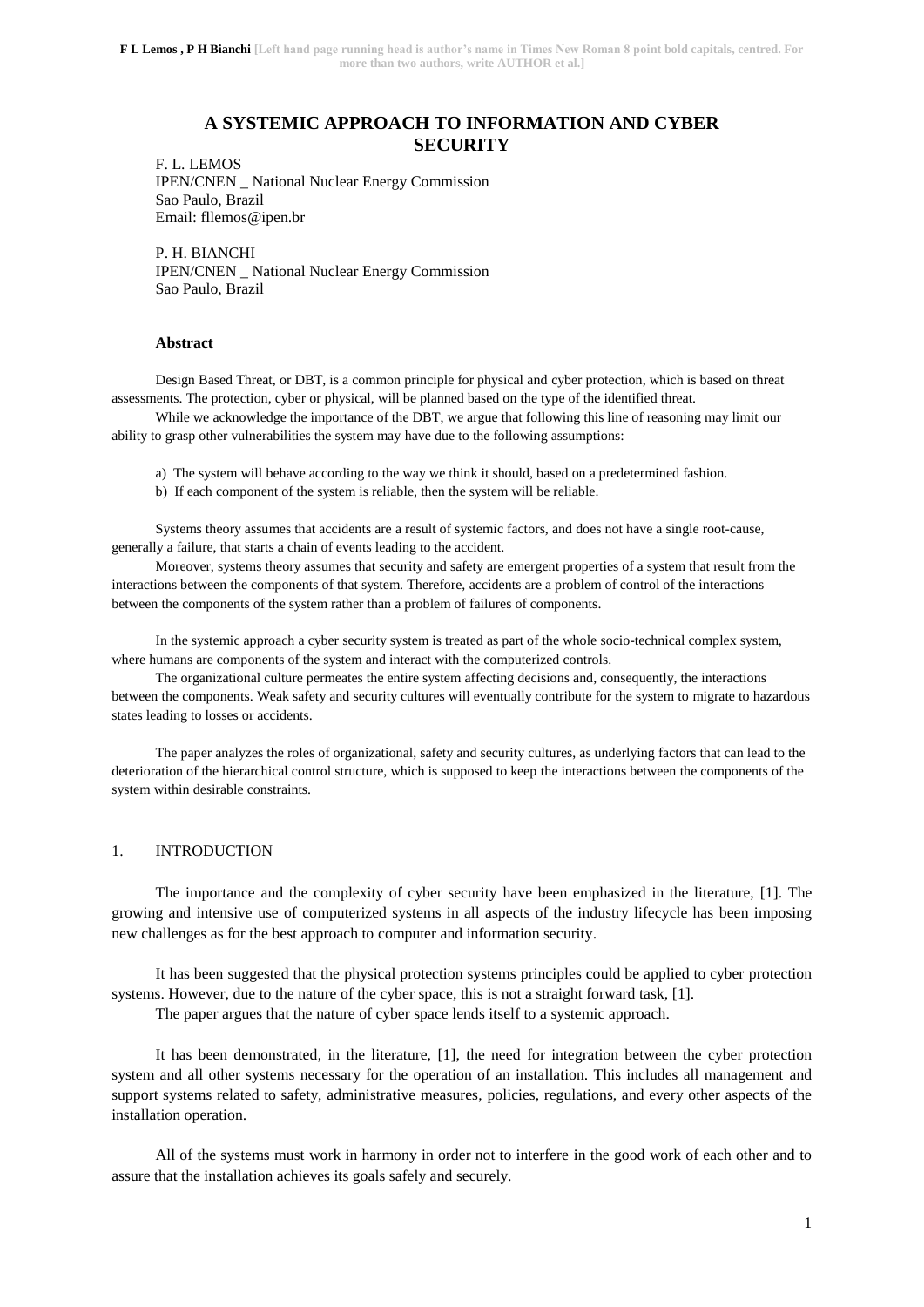# **A SYSTEMIC APPROACH TO INFORMATION AND CYBER SECURITY**

F. L. LEMOS IPEN/CNEN \_ National Nuclear Energy Commission Sao Paulo, Brazil Email: fllemos@ipen.br

P. H. BIANCHI IPEN/CNEN \_ National Nuclear Energy Commission Sao Paulo, Brazil

### **Abstract**

Design Based Threat, or DBT, is a common principle for physical and cyber protection, which is based on threat assessments. The protection, cyber or physical, will be planned based on the type of the identified threat.

While we acknowledge the importance of the DBT, we argue that following this line of reasoning may limit our ability to grasp other vulnerabilities the system may have due to the following assumptions:

a) The system will behave according to the way we think it should, based on a predetermined fashion.

b) If each component of the system is reliable, then the system will be reliable.

Systems theory assumes that accidents are a result of systemic factors, and does not have a single root-cause, generally a failure, that starts a chain of events leading to the accident.

Moreover, systems theory assumes that security and safety are emergent properties of a system that result from the interactions between the components of that system. Therefore, accidents are a problem of control of the interactions between the components of the system rather than a problem of failures of components.

In the systemic approach a cyber security system is treated as part of the whole socio-technical complex system, where humans are components of the system and interact with the computerized controls.

The organizational culture permeates the entire system affecting decisions and, consequently, the interactions between the components. Weak safety and security cultures will eventually contribute for the system to migrate to hazardous states leading to losses or accidents.

The paper analyzes the roles of organizational, safety and security cultures, as underlying factors that can lead to the deterioration of the hierarchical control structure, which is supposed to keep the interactions between the components of the system within desirable constraints.

### 1. INTRODUCTION

The importance and the complexity of cyber security have been emphasized in the literature, [1]. The growing and intensive use of computerized systems in all aspects of the industry lifecycle has been imposing new challenges as for the best approach to computer and information security.

It has been suggested that the physical protection systems principles could be applied to cyber protection systems. However, due to the nature of the cyber space, this is not a straight forward task, [1].

The paper argues that the nature of cyber space lends itself to a systemic approach.

It has been demonstrated, in the literature, [1], the need for integration between the cyber protection system and all other systems necessary for the operation of an installation. This includes all management and support systems related to safety, administrative measures, policies, regulations, and every other aspects of the installation operation.

All of the systems must work in harmony in order not to interfere in the good work of each other and to assure that the installation achieves its goals safely and securely.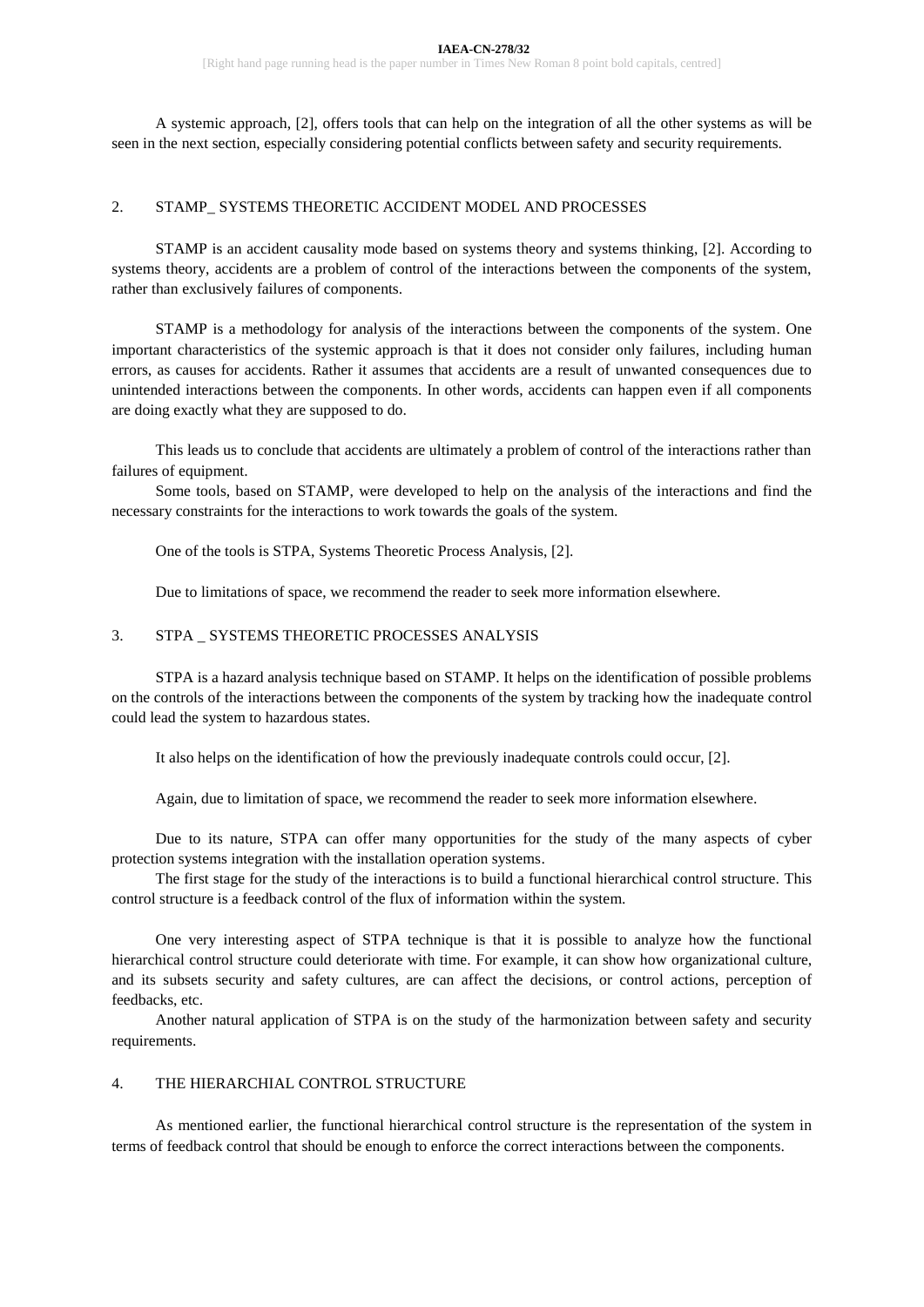A systemic approach, [2], offers tools that can help on the integration of all the other systems as will be seen in the next section, especially considering potential conflicts between safety and security requirements.

## 2. STAMP\_ SYSTEMS THEORETIC ACCIDENT MODEL AND PROCESSES

STAMP is an accident causality mode based on systems theory and systems thinking, [2]. According to systems theory, accidents are a problem of control of the interactions between the components of the system, rather than exclusively failures of components.

STAMP is a methodology for analysis of the interactions between the components of the system. One important characteristics of the systemic approach is that it does not consider only failures, including human errors, as causes for accidents. Rather it assumes that accidents are a result of unwanted consequences due to unintended interactions between the components. In other words, accidents can happen even if all components are doing exactly what they are supposed to do.

This leads us to conclude that accidents are ultimately a problem of control of the interactions rather than failures of equipment.

Some tools, based on STAMP, were developed to help on the analysis of the interactions and find the necessary constraints for the interactions to work towards the goals of the system.

One of the tools is STPA, Systems Theoretic Process Analysis, [2].

Due to limitations of space, we recommend the reader to seek more information elsewhere.

## 3. STPA \_ SYSTEMS THEORETIC PROCESSES ANALYSIS

STPA is a hazard analysis technique based on STAMP. It helps on the identification of possible problems on the controls of the interactions between the components of the system by tracking how the inadequate control could lead the system to hazardous states.

It also helps on the identification of how the previously inadequate controls could occur, [2].

Again, due to limitation of space, we recommend the reader to seek more information elsewhere.

Due to its nature, STPA can offer many opportunities for the study of the many aspects of cyber protection systems integration with the installation operation systems.

The first stage for the study of the interactions is to build a functional hierarchical control structure. This control structure is a feedback control of the flux of information within the system.

One very interesting aspect of STPA technique is that it is possible to analyze how the functional hierarchical control structure could deteriorate with time. For example, it can show how organizational culture, and its subsets security and safety cultures, are can affect the decisions, or control actions, perception of feedbacks, etc.

Another natural application of STPA is on the study of the harmonization between safety and security requirements.

## 4. THE HIERARCHIAL CONTROL STRUCTURE

As mentioned earlier, the functional hierarchical control structure is the representation of the system in terms of feedback control that should be enough to enforce the correct interactions between the components.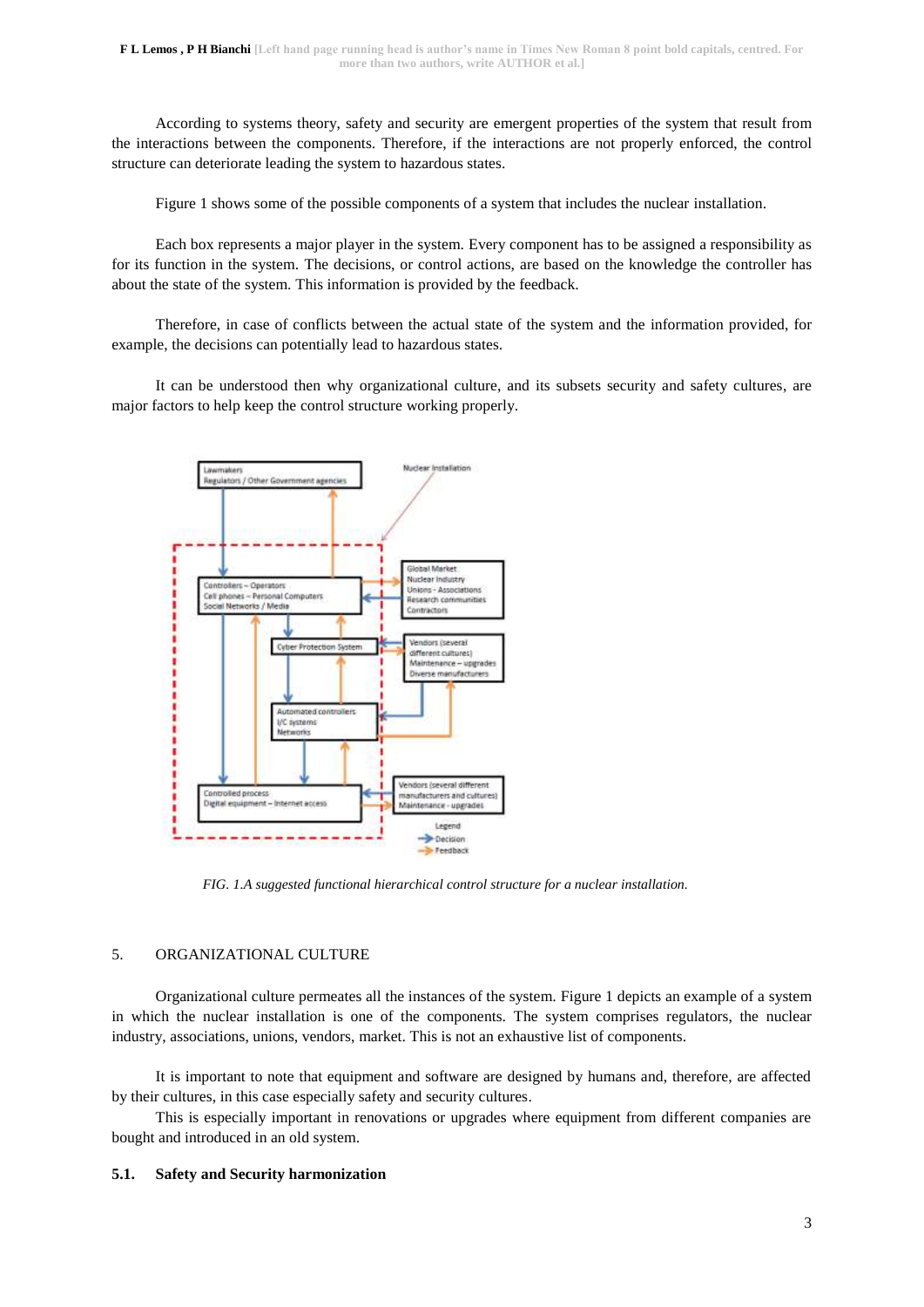According to systems theory, safety and security are emergent properties of the system that result from the interactions between the components. Therefore, if the interactions are not properly enforced, the control structure can deteriorate leading the system to hazardous states.

Figure 1 shows some of the possible components of a system that includes the nuclear installation.

Each box represents a major player in the system. Every component has to be assigned a responsibility as for its function in the system. The decisions, or control actions, are based on the knowledge the controller has about the state of the system. This information is provided by the feedback.

Therefore, in case of conflicts between the actual state of the system and the information provided, for example, the decisions can potentially lead to hazardous states.

It can be understood then why organizational culture, and its subsets security and safety cultures, are major factors to help keep the control structure working properly.



*FIG. 1.A suggested functional hierarchical control structure for a nuclear installation.*

## 5. ORGANIZATIONAL CULTURE

Organizational culture permeates all the instances of the system. Figure 1 depicts an example of a system in which the nuclear installation is one of the components. The system comprises regulators, the nuclear industry, associations, unions, vendors, market. This is not an exhaustive list of components.

It is important to note that equipment and software are designed by humans and, therefore, are affected by their cultures, in this case especially safety and security cultures.

This is especially important in renovations or upgrades where equipment from different companies are bought and introduced in an old system.

#### **5.1. Safety and Security harmonization**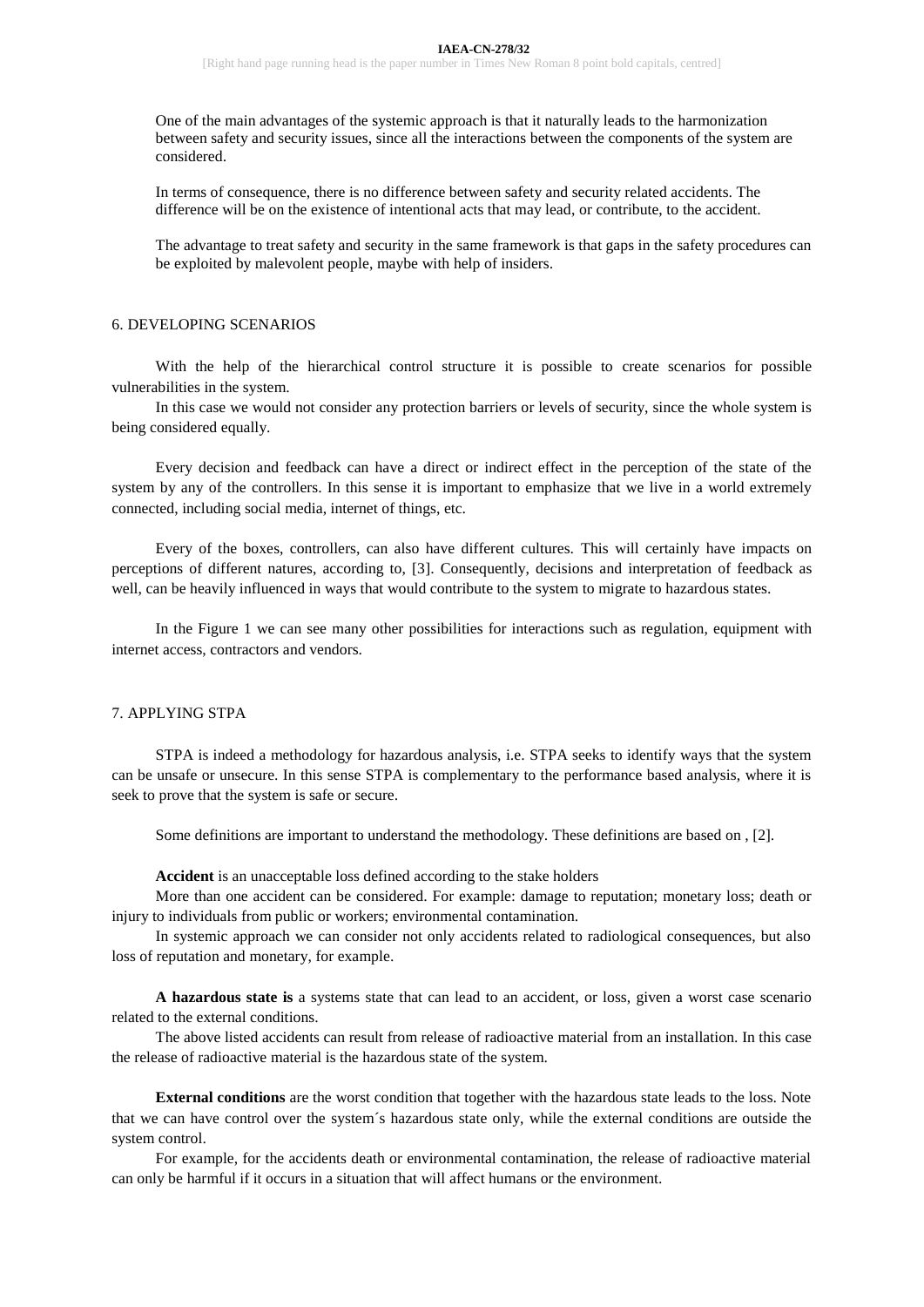One of the main advantages of the systemic approach is that it naturally leads to the harmonization between safety and security issues, since all the interactions between the components of the system are considered.

In terms of consequence, there is no difference between safety and security related accidents. The difference will be on the existence of intentional acts that may lead, or contribute, to the accident.

The advantage to treat safety and security in the same framework is that gaps in the safety procedures can be exploited by malevolent people, maybe with help of insiders.

### 6. DEVELOPING SCENARIOS

With the help of the hierarchical control structure it is possible to create scenarios for possible vulnerabilities in the system.

In this case we would not consider any protection barriers or levels of security, since the whole system is being considered equally.

Every decision and feedback can have a direct or indirect effect in the perception of the state of the system by any of the controllers. In this sense it is important to emphasize that we live in a world extremely connected, including social media, internet of things, etc.

Every of the boxes, controllers, can also have different cultures. This will certainly have impacts on perceptions of different natures, according to, [3]. Consequently, decisions and interpretation of feedback as well, can be heavily influenced in ways that would contribute to the system to migrate to hazardous states.

In the Figure 1 we can see many other possibilities for interactions such as regulation, equipment with internet access, contractors and vendors.

#### 7. APPLYING STPA

STPA is indeed a methodology for hazardous analysis, i.e. STPA seeks to identify ways that the system can be unsafe or unsecure. In this sense STPA is complementary to the performance based analysis, where it is seek to prove that the system is safe or secure.

Some definitions are important to understand the methodology. These definitions are based on , [2].

**Accident** is an unacceptable loss defined according to the stake holders

More than one accident can be considered. For example: damage to reputation; monetary loss; death or injury to individuals from public or workers; environmental contamination.

In systemic approach we can consider not only accidents related to radiological consequences, but also loss of reputation and monetary, for example.

**A hazardous state is** a systems state that can lead to an accident, or loss, given a worst case scenario related to the external conditions.

The above listed accidents can result from release of radioactive material from an installation. In this case the release of radioactive material is the hazardous state of the system.

**External conditions** are the worst condition that together with the hazardous state leads to the loss. Note that we can have control over the system´s hazardous state only, while the external conditions are outside the system control.

For example, for the accidents death or environmental contamination, the release of radioactive material can only be harmful if it occurs in a situation that will affect humans or the environment.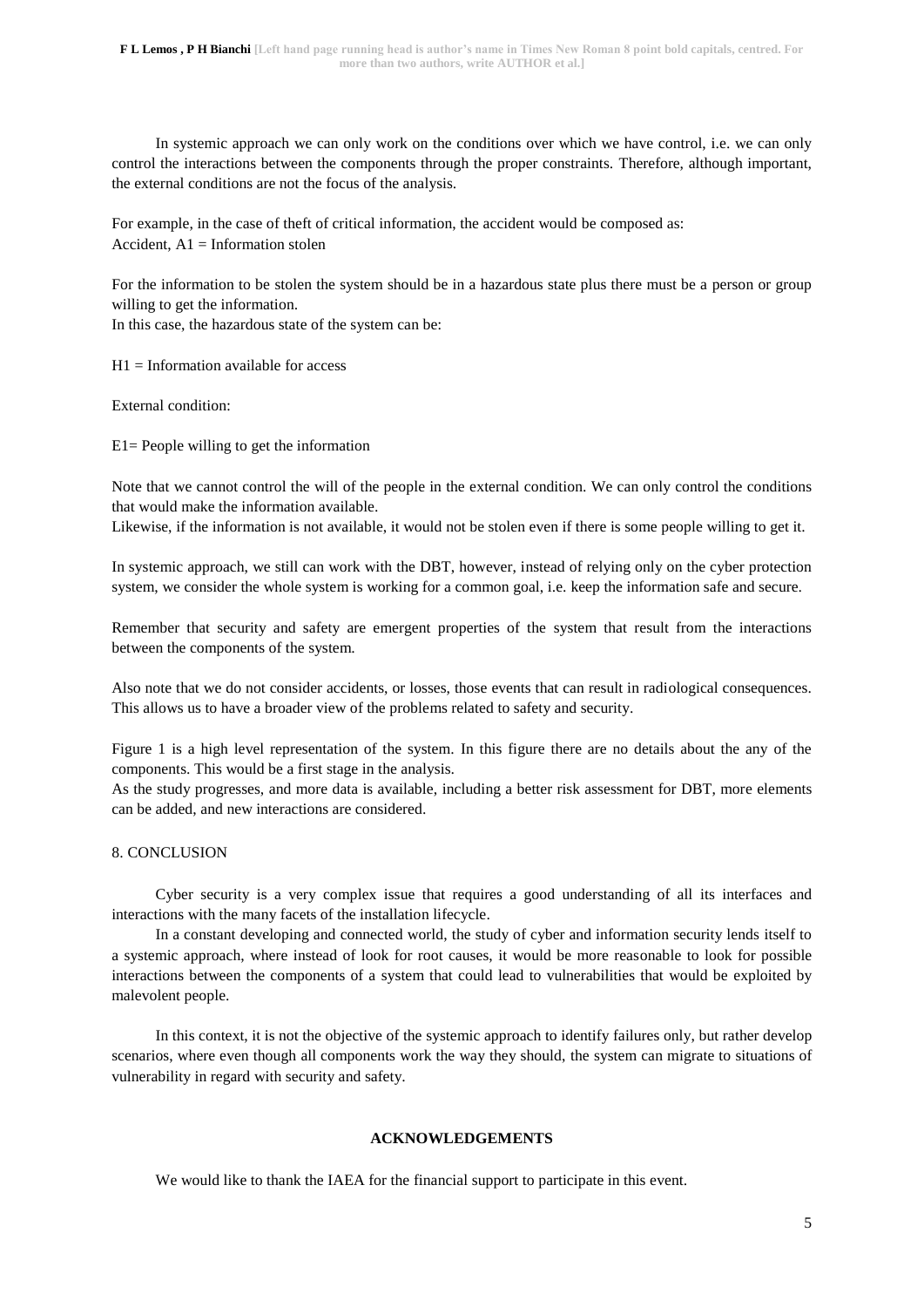In systemic approach we can only work on the conditions over which we have control, i.e. we can only control the interactions between the components through the proper constraints. Therefore, although important, the external conditions are not the focus of the analysis.

For example, in the case of theft of critical information, the accident would be composed as: Accident,  $A1 =$  Information stolen

For the information to be stolen the system should be in a hazardous state plus there must be a person or group willing to get the information.

In this case, the hazardous state of the system can be:

 $H1 =$  Information available for access

External condition:

E1= People willing to get the information

Note that we cannot control the will of the people in the external condition. We can only control the conditions that would make the information available.

Likewise, if the information is not available, it would not be stolen even if there is some people willing to get it.

In systemic approach, we still can work with the DBT, however, instead of relying only on the cyber protection system, we consider the whole system is working for a common goal, i.e. keep the information safe and secure.

Remember that security and safety are emergent properties of the system that result from the interactions between the components of the system.

Also note that we do not consider accidents, or losses, those events that can result in radiological consequences. This allows us to have a broader view of the problems related to safety and security.

Figure 1 is a high level representation of the system. In this figure there are no details about the any of the components. This would be a first stage in the analysis.

As the study progresses, and more data is available, including a better risk assessment for DBT, more elements can be added, and new interactions are considered.

#### 8. CONCLUSION

Cyber security is a very complex issue that requires a good understanding of all its interfaces and interactions with the many facets of the installation lifecycle.

In a constant developing and connected world, the study of cyber and information security lends itself to a systemic approach, where instead of look for root causes, it would be more reasonable to look for possible interactions between the components of a system that could lead to vulnerabilities that would be exploited by malevolent people.

In this context, it is not the objective of the systemic approach to identify failures only, but rather develop scenarios, where even though all components work the way they should, the system can migrate to situations of vulnerability in regard with security and safety.

## **ACKNOWLEDGEMENTS**

We would like to thank the IAEA for the financial support to participate in this event.